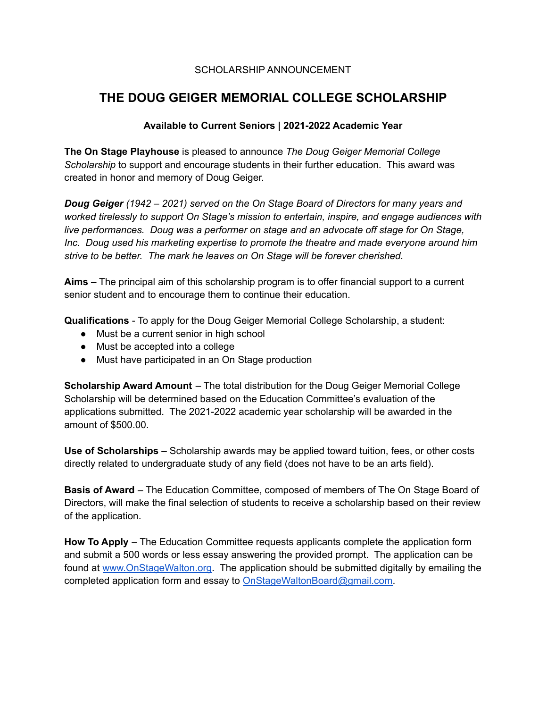## SCHOLARSHIP ANNOUNCEMENT

# **THE DOUG GEIGER MEMORIAL COLLEGE SCHOLARSHIP**

## **Available to Current Seniors | 2021-2022 Academic Year**

**The On Stage Playhouse** is pleased to announce *The Doug Geiger Memorial College Scholarship* to support and encourage students in their further education. This award was created in honor and memory of Doug Geiger.

*Doug Geiger (1942 – 2021) served on the On Stage Board of Directors for many years and worked tirelessly to support On Stage's mission to entertain, inspire, and engage audiences with live performances. Doug was a performer on stage and an advocate off stage for On Stage, Inc. Doug used his marketing expertise to promote the theatre and made everyone around him strive to be better. The mark he leaves on On Stage will be forever cherished.*

**Aims** – The principal aim of this scholarship program is to offer financial support to a current senior student and to encourage them to continue their education.

**Qualifications** - To apply for the Doug Geiger Memorial College Scholarship, a student:

- Must be a current senior in high school
- Must be accepted into a college
- Must have participated in an On Stage production

**Scholarship Award Amount** – The total distribution for the Doug Geiger Memorial College Scholarship will be determined based on the Education Committee's evaluation of the applications submitted. The 2021-2022 academic year scholarship will be awarded in the amount of \$500.00.

**Use of Scholarships** – Scholarship awards may be applied toward tuition, fees, or other costs directly related to undergraduate study of any field (does not have to be an arts field).

**Basis of Award** – The Education Committee, composed of members of The On Stage Board of Directors, will make the final selection of students to receive a scholarship based on their review of the application.

**How To Apply** – The Education Committee requests applicants complete the application form and submit a 500 words or less essay answering the provided prompt. The application can be found at [www.OnStageWalton.org](http://www.onstagewalton.org). The application should be submitted digitally by emailing the completed application form and essay to [OnStageWaltonBoard@gmail.com.](mailto:OnStageWaltonBoard@gmail.com)